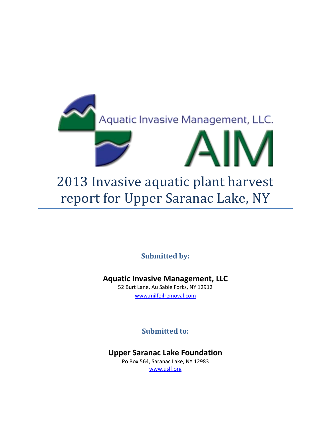

**Submitted by:**

**Aquatic Invasive Management, LLC**

52 Burt Lane, Au Sable Forks, NY 12912 [www.milfoilremoval.com](http://www.milfoilremoval.com/)

**Submitted to:**

**Upper Saranac Lake Foundation**

Po Box 564, Saranac Lake, NY 12983 [www.uslf.org](http://www.uslf.org/)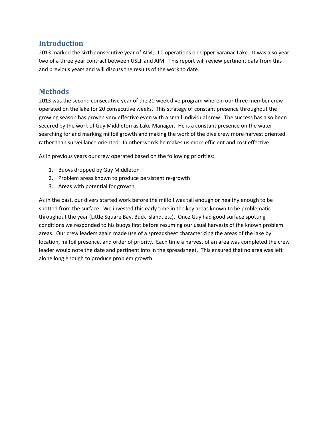### **Introduction**

2013 marked the sixth consecutive year of AIM, LLC operations on Upper Saranac Lake. It was also year two of a three year contract between USLF and AIM. This report will review pertinent data from this and previous years and will discuss the results of the work to date.

## **Methods**

2013 was the second consecutive year of the 20 week dive program wherein our three member crew operated on the lake for 20 consecutive weeks. This strategy of constant presence throughout the growing season has proven very effective even with a small individual crew. The success has also been secured by the work of Guy Middleton as Lake Manager. He is a constant presence on the water searching for and marking milfoil growth and making the work of the dive crew more harvest oriented rather than surveillance oriented. In other words he makes us more efficient and cost effective.

As in previous years our crew operated based on the following priorities:

- 1. Buoys dropped by Guy Middleton
- 2. Problem areas known to produce persistent re-growth
- 3. Areas with potential for growth

As in the past, our divers started work before the milfoil was tall enough or healthy enough to be spotted from the surface. We invested this early time in the key areas known to be problematic throughout the year (Little Square Bay, Buck Island, etc). Once Guy had good surface spotting conditions we responded to his buoys first before resuming our usual harvests of the known problem areas. Our crew leaders again made use of a spreadsheet characterizing the areas of the lake by location, milfoil presence, and order of priority. Each time a harvest of an area was completed the crew leader would note the date and pertinent info in the spreadsheet. This ensured that no area was left alone long enough to produce problem growth.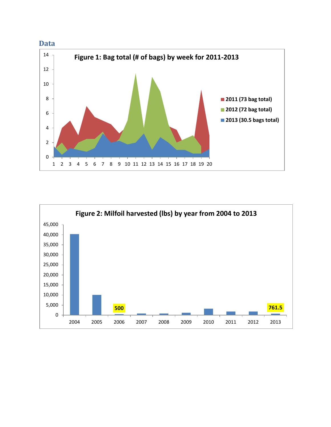



#### **Data**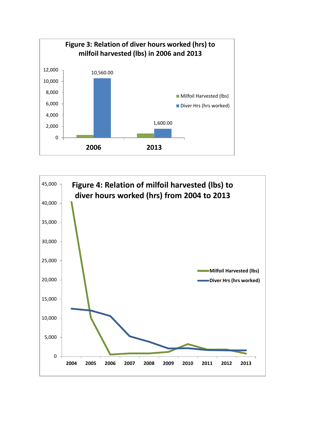

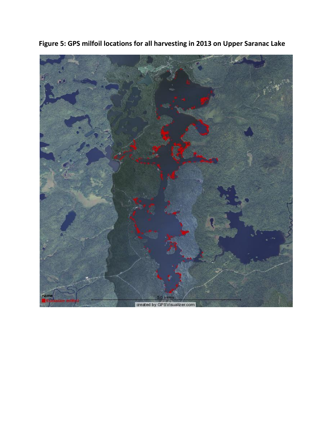

**Figure 5: GPS milfoil locations for all harvesting in 2013 on Upper Saranac Lake**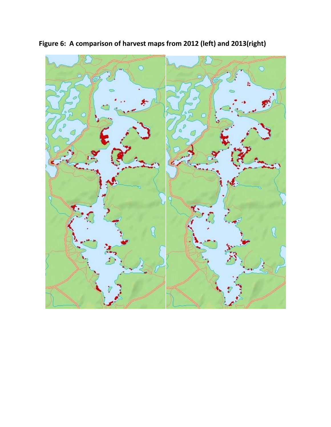

**Figure 6: A comparison of harvest maps from 2012 (left) and 2013(right)**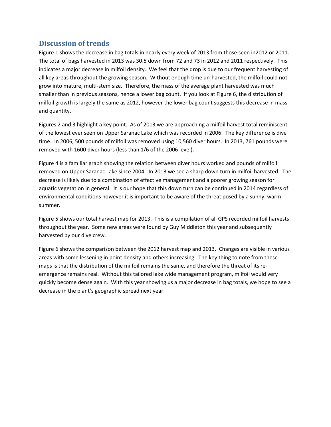### **Discussion of trends**

Figure 1 shows the decrease in bag totals in nearly every week of 2013 from those seen in2012 or 2011. The total of bags harvested in 2013 was 30.5 down from 72 and 73 in 2012 and 2011 respectively. This indicates a major decrease in milfoil density. We feel that the drop is due to our frequent harvesting of all key areas throughout the growing season. Without enough time un-harvested, the milfoil could not grow into mature, multi-stem size. Therefore, the mass of the average plant harvested was much smaller than in previous seasons, hence a lower bag count. If you look at Figure 6, the distribution of milfoil growth is largely the same as 2012, however the lower bag count suggests this decrease in mass and quantity.

Figures 2 and 3 highlight a key point. As of 2013 we are approaching a milfoil harvest total reminiscent of the lowest ever seen on Upper Saranac Lake which was recorded in 2006. The key difference is dive time. In 2006, 500 pounds of milfoil was removed using 10,560 diver hours. In 2013, 761 pounds were removed with 1600 diver hours (less than 1/6 of the 2006 level).

Figure 4 is a familiar graph showing the relation between diver hours worked and pounds of milfoil removed on Upper Saranac Lake since 2004. In 2013 we see a sharp down turn in milfoil harvested. The decrease is likely due to a combination of effective management and a poorer growing season for aquatic vegetation in general. It is our hope that this down turn can be continued in 2014 regardless of environmental conditions however it is important to be aware of the threat posed by a sunny, warm summer.

Figure 5 shows our total harvest map for 2013. This is a compilation of all GPS recorded milfoil harvests throughout the year. Some new areas were found by Guy Middleton this year and subsequently harvested by our dive crew.

Figure 6 shows the comparison between the 2012 harvest map and 2013. Changes are visible in various areas with some lessening in point density and others increasing. The key thing to note from these maps is that the distribution of the milfoil remains the same, and therefore the threat of its reemergence remains real. Without this tailored lake wide management program, milfoil would very quickly become dense again. With this year showing us a major decrease in bag totals, we hope to see a decrease in the plant's geographic spread next year.